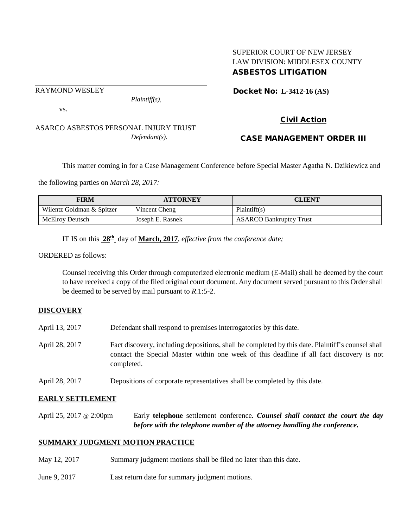## SUPERIOR COURT OF NEW JERSEY LAW DIVISION: MIDDLESEX COUNTY ASBESTOS LITIGATION

Docket No: **L-3412-16 (AS)** 

RAYMOND WESLEY

vs.

*Plaintiff(s),*

Civil Action

ASARCO ASBESTOS PERSONAL INJURY TRUST *Defendant(s).*

CASE MANAGEMENT ORDER III

This matter coming in for a Case Management Conference before Special Master Agatha N. Dzikiewicz and

the following parties on *March 28, 2017:*

| <b>FIRM</b>               | <b>ATTORNEY</b>  | CLIENT                         |
|---------------------------|------------------|--------------------------------|
| Wilentz Goldman & Spitzer | Vincent Cheng    | Plaintiff(s)                   |
| McElroy Deutsch           | Joseph E. Rasnek | <b>ASARCO Bankruptcy Trust</b> |

IT IS on this **28th** day of **March, 2017**, *effective from the conference date;*

ORDERED as follows:

Counsel receiving this Order through computerized electronic medium (E-Mail) shall be deemed by the court to have received a copy of the filed original court document. Any document served pursuant to this Order shall be deemed to be served by mail pursuant to *R*.1:5-2.

# **DISCOVERY**

- April 13, 2017 Defendant shall respond to premises interrogatories by this date.
- April 28, 2017 Fact discovery, including depositions, shall be completed by this date. Plaintiff's counsel shall contact the Special Master within one week of this deadline if all fact discovery is not completed.
- April 28, 2017 Depositions of corporate representatives shall be completed by this date.

## **EARLY SETTLEMENT**

April 25, 2017 @ 2:00pm Early **telephone** settlement conference*. Counsel shall contact the court the day before with the telephone number of the attorney handling the conference.*

## **SUMMARY JUDGMENT MOTION PRACTICE**

- May 12, 2017 Summary judgment motions shall be filed no later than this date.
- June 9, 2017 Last return date for summary judgment motions.